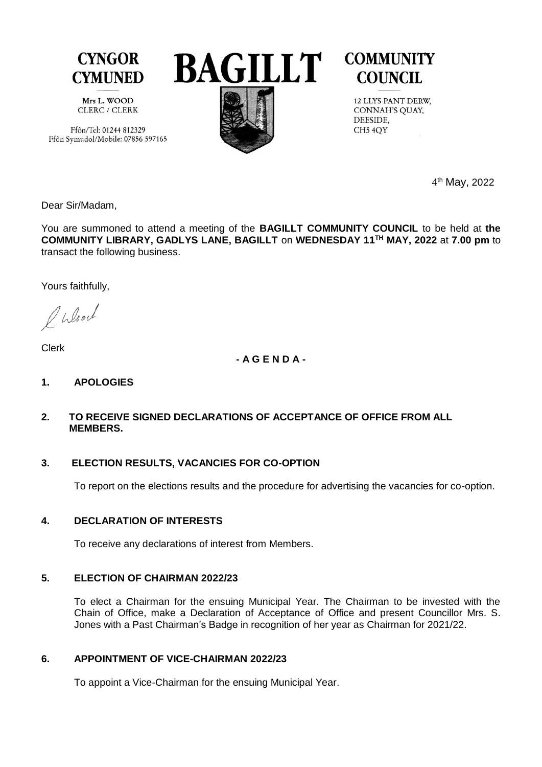

Mrs L. WOOD CLERC / CLERK

Ffôn/Tel: 01244 812329 Ffôn Symudol/Mobile: 07856 597165



# **COMMUNITY COUNCIL**

12 LLYS PANT DERW, CONNAH'S QUAY, DEESIDE, CH<sub>5</sub> 4OY

 4 4<sup>th</sup> May, 2022

Dear Sir/Madam,

You are summoned to attend a meeting of the **BAGILLT COMMUNITY COUNCIL** to be held at **the COMMUNITY LIBRARY, GADLYS LANE, BAGILLT** on **WEDNESDAY 11TH MAY, 2022** at **7.00 pm** to transact the following business.

Yours faithfully,

O Wlood

Clerk

**- A G E N D A -**

**1. APOLOGIES** 

## **2. TO RECEIVE SIGNED DECLARATIONS OF ACCEPTANCE OF OFFICE FROM ALL MEMBERS.**

# **3. ELECTION RESULTS, VACANCIES FOR CO-OPTION**

To report on the elections results and the procedure for advertising the vacancies for co-option.

# **4. DECLARATION OF INTERESTS**

To receive any declarations of interest from Members.

# **5. ELECTION OF CHAIRMAN 2022/23**

To elect a Chairman for the ensuing Municipal Year. The Chairman to be invested with the Chain of Office, make a Declaration of Acceptance of Office and present Councillor Mrs. S. Jones with a Past Chairman's Badge in recognition of her year as Chairman for 2021/22.

# **6. APPOINTMENT OF VICE-CHAIRMAN 2022/23**

To appoint a Vice-Chairman for the ensuing Municipal Year.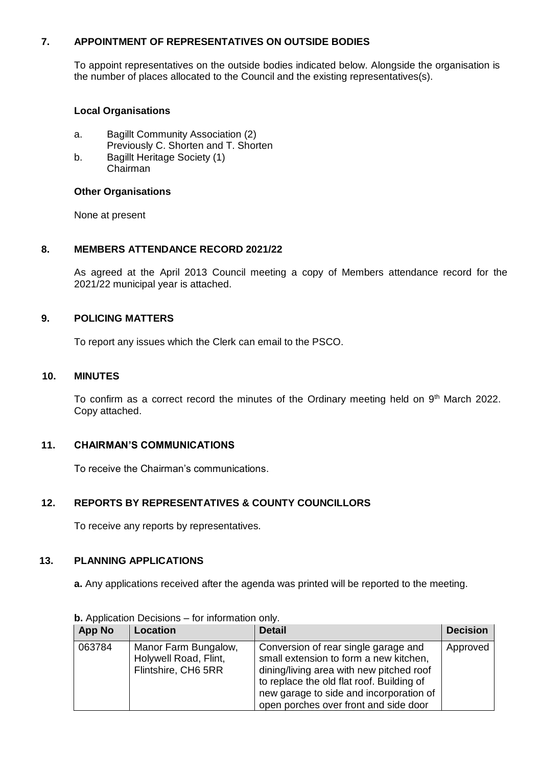#### **7. APPOINTMENT OF REPRESENTATIVES ON OUTSIDE BODIES**

To appoint representatives on the outside bodies indicated below. Alongside the organisation is the number of places allocated to the Council and the existing representatives(s).

## **Local Organisations**

- a. Bagillt Community Association (2) Previously C. Shorten and T. Shorten
- b. Bagillt Heritage Society (1) Chairman

# **Other Organisations**

None at present

### **8. MEMBERS ATTENDANCE RECORD 2021/22**

As agreed at the April 2013 Council meeting a copy of Members attendance record for the 2021/22 municipal year is attached.

### **9. POLICING MATTERS**

To report any issues which the Clerk can email to the PSCO.

#### **10. MINUTES**

To confirm as a correct record the minutes of the Ordinary meeting held on  $9<sup>th</sup>$  March 2022. Copy attached.

# **11. CHAIRMAN'S COMMUNICATIONS**

To receive the Chairman's communications.

# **12. REPORTS BY REPRESENTATIVES & COUNTY COUNCILLORS**

To receive any reports by representatives.

#### **13. PLANNING APPLICATIONS**

**a.** Any applications received after the agenda was printed will be reported to the meeting.

| App No | Location                                                             | <b>Detail</b>                                                                                                                                                                                                                                               | <b>Decision</b> |
|--------|----------------------------------------------------------------------|-------------------------------------------------------------------------------------------------------------------------------------------------------------------------------------------------------------------------------------------------------------|-----------------|
| 063784 | Manor Farm Bungalow,<br>Holywell Road, Flint,<br>Flintshire, CH6 5RR | Conversion of rear single garage and<br>small extension to form a new kitchen,<br>dining/living area with new pitched roof<br>to replace the old flat roof. Building of<br>new garage to side and incorporation of<br>open porches over front and side door | Approved        |

**b.** Application Decisions – for information only.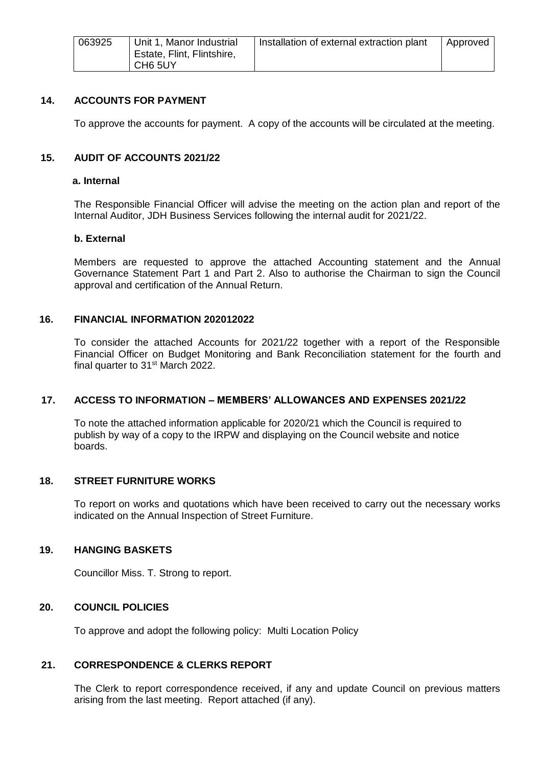| 063925 | Unit 1, Manor Industrial<br>Estate, Flint, Flintshire,<br>CH6 5UY | Installation of external extraction plant | Approved |
|--------|-------------------------------------------------------------------|-------------------------------------------|----------|
|--------|-------------------------------------------------------------------|-------------------------------------------|----------|

#### **14. ACCOUNTS FOR PAYMENT**

To approve the accounts for payment. A copy of the accounts will be circulated at the meeting.

#### **15. AUDIT OF ACCOUNTS 2021/22**

#### **a. Internal**

The Responsible Financial Officer will advise the meeting on the action plan and report of the Internal Auditor, JDH Business Services following the internal audit for 2021/22.

#### **b. External**

Members are requested to approve the attached Accounting statement and the Annual Governance Statement Part 1 and Part 2. Also to authorise the Chairman to sign the Council approval and certification of the Annual Return.

#### **16. FINANCIAL INFORMATION 202012022**

To consider the attached Accounts for 2021/22 together with a report of the Responsible Financial Officer on Budget Monitoring and Bank Reconciliation statement for the fourth and final quarter to 31<sup>st</sup> March 2022.

#### **17. ACCESS TO INFORMATION – MEMBERS' ALLOWANCES AND EXPENSES 2021/22**

To note the attached information applicable for 2020/21 which the Council is required to publish by way of a copy to the IRPW and displaying on the Council website and notice boards.

#### **18. STREET FURNITURE WORKS**

To report on works and quotations which have been received to carry out the necessary works indicated on the Annual Inspection of Street Furniture.

#### **19. HANGING BASKETS**

Councillor Miss. T. Strong to report.

#### **20. COUNCIL POLICIES**

To approve and adopt the following policy: Multi Location Policy

#### **21. CORRESPONDENCE & CLERKS REPORT**

The Clerk to report correspondence received, if any and update Council on previous matters arising from the last meeting. Report attached (if any).